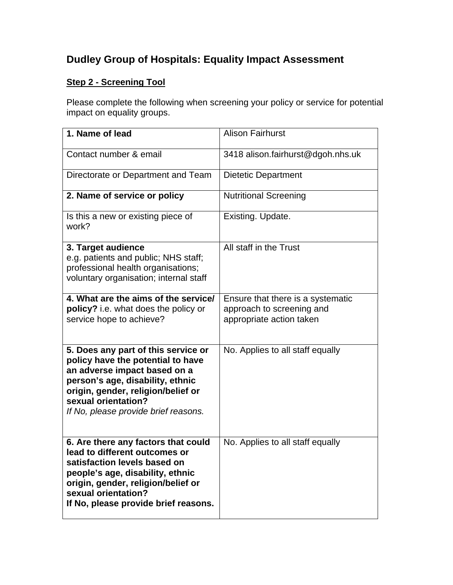## **Dudley Group of Hospitals: Equality Impact Assessment**

## **Step 2 - Screening Tool**

Please complete the following when screening your policy or service for potential impact on equality groups.

| 1. Name of lead                                                                                                                                                                                                                                   | <b>Alison Fairhurst</b>                                                                    |
|---------------------------------------------------------------------------------------------------------------------------------------------------------------------------------------------------------------------------------------------------|--------------------------------------------------------------------------------------------|
| Contact number & email                                                                                                                                                                                                                            | 3418 alison.fairhurst@dgoh.nhs.uk                                                          |
| Directorate or Department and Team                                                                                                                                                                                                                | <b>Dietetic Department</b>                                                                 |
| 2. Name of service or policy                                                                                                                                                                                                                      | <b>Nutritional Screening</b>                                                               |
| Is this a new or existing piece of<br>work?                                                                                                                                                                                                       | Existing. Update.                                                                          |
| 3. Target audience<br>e.g. patients and public; NHS staff;<br>professional health organisations;<br>voluntary organisation; internal staff                                                                                                        | All staff in the Trust                                                                     |
| 4. What are the aims of the service/<br>policy? i.e. what does the policy or<br>service hope to achieve?                                                                                                                                          | Ensure that there is a systematic<br>approach to screening and<br>appropriate action taken |
| 5. Does any part of this service or<br>policy have the potential to have<br>an adverse impact based on a<br>person's age, disability, ethnic<br>origin, gender, religion/belief or<br>sexual orientation?<br>If No, please provide brief reasons. | No. Applies to all staff equally                                                           |
| 6. Are there any factors that could<br>lead to different outcomes or<br>satisfaction levels based on<br>people's age, disability, ethnic<br>origin, gender, religion/belief or<br>sexual orientation?<br>If No, please provide brief reasons.     | No. Applies to all staff equally                                                           |